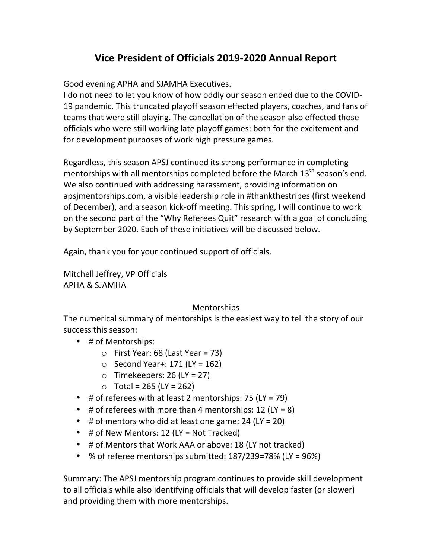# **Vice President of Officials 2019-2020 Annual Report**

Good evening APHA and SJAMHA Executives.

I do not need to let you know of how oddly our season ended due to the COVID-19 pandemic. This truncated playoff season effected players, coaches, and fans of teams that were still playing. The cancellation of the season also effected those officials who were still working late playoff games: both for the excitement and for development purposes of work high pressure games.

Regardless, this season APSJ continued its strong performance in completing mentorships with all mentorships completed before the March  $13<sup>th</sup>$  season's end. We also continued with addressing harassment, providing information on apsjmentorships.com, a visible leadership role in #thankthestripes (first weekend of December), and a season kick-off meeting. This spring, I will continue to work on the second part of the "Why Referees Quit" research with a goal of concluding by September 2020. Each of these initiatives will be discussed below.

Again, thank you for your continued support of officials.

Mitchell Jeffrey, VP Officials APHA & SJAMHA

### Mentorships

The numerical summary of mentorships is the easiest way to tell the story of our success this season:

- # of Mentorships:
	- $\circ$  First Year: 68 (Last Year = 73)
	- $\circ$  Second Year+: 171 (LY = 162)
	- $\circ$  Timekeepers: 26 (LY = 27)
	- $\circ$  Total = 265 (LY = 262)
- # of referees with at least 2 mentorships:  $75$  (LY =  $79$ )
- # of referees with more than 4 mentorships:  $12$  (LY = 8)
- # of mentors who did at least one game:  $24$  (LY = 20)
- # of New Mentors:  $12$  (LY = Not Tracked)
- # of Mentors that Work AAA or above: 18 (LY not tracked)
- % of referee mentorships submitted:  $187/239=78%$  (LY = 96%)

Summary: The APSJ mentorship program continues to provide skill development to all officials while also identifying officials that will develop faster (or slower) and providing them with more mentorships.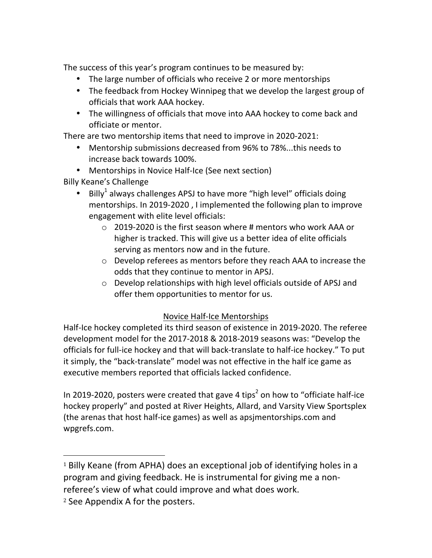The success of this year's program continues to be measured by:

- The large number of officials who receive 2 or more mentorships
- The feedback from Hockey Winnipeg that we develop the largest group of officials that work AAA hockey.
- The willingness of officials that move into AAA hockey to come back and officiate or mentor.

There are two mentorship items that need to improve in 2020-2021:

- Mentorship submissions decreased from 96% to 78%...this needs to increase back towards 100%.
- Mentorships in Novice Half-Ice (See next section)

Billy Keane's Challenge

- Billy<sup>1</sup> always challenges APSJ to have more "high level" officials doing mentorships. In 2019-2020, I implemented the following plan to improve engagement with elite level officials:
	- $\circ$  2019-2020 is the first season where # mentors who work AAA or higher is tracked. This will give us a better idea of elite officials serving as mentors now and in the future.
	- $\circ$  Develop referees as mentors before they reach AAA to increase the odds that they continue to mentor in APSJ.
	- $\circ$  Develop relationships with high level officials outside of APSJ and offer them opportunities to mentor for us.

### Novice Half-Ice Mentorships

Half-Ice hockey completed its third season of existence in 2019-2020. The referee development model for the 2017-2018 & 2018-2019 seasons was: "Develop the officials for full-ice hockey and that will back-translate to half-ice hockey." To put it simply, the "back-translate" model was not effective in the half ice game as executive members reported that officials lacked confidence.

In 2019-2020, posters were created that gave 4 tips<sup>2</sup> on how to "officiate half-ice hockey properly" and posted at River Heights, Allard, and Varsity View Sportsplex (the arenas that host half-ice games) as well as apsimentorships.com and wpgrefs.com.

 

 $1$  Billy Keane (from APHA) does an exceptional job of identifying holes in a program and giving feedback. He is instrumental for giving me a nonreferee's view of what could improve and what does work.

 $2$  See Appendix A for the posters.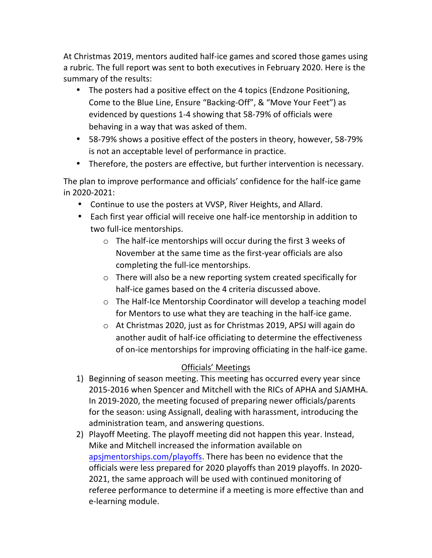At Christmas 2019, mentors audited half-ice games and scored those games using a rubric. The full report was sent to both executives in February 2020. Here is the summary of the results:

- The posters had a positive effect on the 4 topics (Endzone Positioning, Come to the Blue Line, Ensure "Backing-Off", & "Move Your Feet") as evidenced by questions 1-4 showing that 58-79% of officials were behaving in a way that was asked of them.
- 58-79% shows a positive effect of the posters in theory, however, 58-79% is not an acceptable level of performance in practice.
- Therefore, the posters are effective, but further intervention is necessary.

The plan to improve performance and officials' confidence for the half-ice game in 2020-2021:

- Continue to use the posters at VVSP, River Heights, and Allard.
- Each first year official will receive one half-ice mentorship in addition to two full-ice mentorships.
	- $\circ$  The half-ice mentorships will occur during the first 3 weeks of November at the same time as the first-year officials are also completing the full-ice mentorships.
	- $\circ$  There will also be a new reporting system created specifically for half-ice games based on the 4 criteria discussed above.
	- $\circ$  The Half-Ice Mentorship Coordinator will develop a teaching model for Mentors to use what they are teaching in the half-ice game.
	- $\circ$  At Christmas 2020, just as for Christmas 2019, APSJ will again do another audit of half-ice officiating to determine the effectiveness of on-ice mentorships for improving officiating in the half-ice game.

## Officials' Meetings

- 1) Beginning of season meeting. This meeting has occurred every year since 2015-2016 when Spencer and Mitchell with the RICs of APHA and SJAMHA. In 2019-2020, the meeting focused of preparing newer officials/parents for the season: using Assignall, dealing with harassment, introducing the administration team, and answering questions.
- 2) Playoff Meeting. The playoff meeting did not happen this year. Instead, Mike and Mitchell increased the information available on apsjmentorships.com/playoffs. There has been no evidence that the officials were less prepared for 2020 playoffs than 2019 playoffs. In 2020-2021, the same approach will be used with continued monitoring of referee performance to determine if a meeting is more effective than and e-learning module.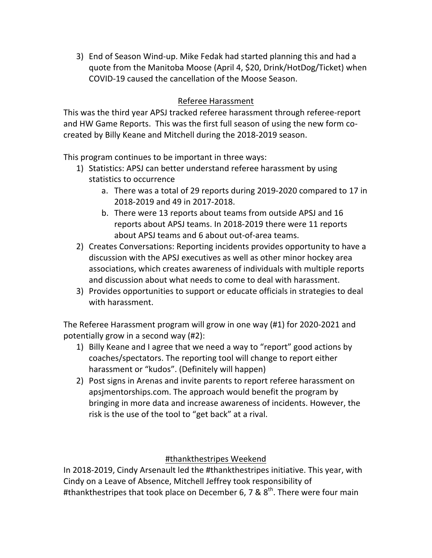3) End of Season Wind-up. Mike Fedak had started planning this and had a quote from the Manitoba Moose (April 4, \$20, Drink/HotDog/Ticket) when COVID-19 caused the cancellation of the Moose Season.

#### Referee Harassment

This was the third year APSJ tracked referee harassment through referee-report and HW Game Reports. This was the first full season of using the new form cocreated by Billy Keane and Mitchell during the 2018-2019 season.

This program continues to be important in three ways:

- 1) Statistics: APSJ can better understand referee harassment by using statistics to occurrence
	- a. There was a total of 29 reports during 2019-2020 compared to 17 in 2018-2019 and 49 in 2017-2018.
	- b. There were 13 reports about teams from outside APSJ and 16 reports about APSJ teams. In 2018-2019 there were 11 reports about APSJ teams and 6 about out-of-area teams.
- 2) Creates Conversations: Reporting incidents provides opportunity to have a discussion with the APSJ executives as well as other minor hockey area associations, which creates awareness of individuals with multiple reports and discussion about what needs to come to deal with harassment.
- 3) Provides opportunities to support or educate officials in strategies to deal with harassment.

The Referee Harassment program will grow in one way (#1) for 2020-2021 and potentially grow in a second way  $(42)$ :

- 1) Billy Keane and I agree that we need a way to "report" good actions by coaches/spectators. The reporting tool will change to report either harassment or "kudos". (Definitely will happen)
- 2) Post signs in Arenas and invite parents to report referee harassment on apsimentorships.com. The approach would benefit the program by bringing in more data and increase awareness of incidents. However, the risk is the use of the tool to "get back" at a rival.

#thankthestripes Weekend

In 2018-2019, Cindy Arsenault led the #thankthestripes initiative. This year, with Cindy on a Leave of Absence, Mitchell Jeffrey took responsibility of #thankthestripes that took place on December 6, 7 &  $8<sup>th</sup>$ . There were four main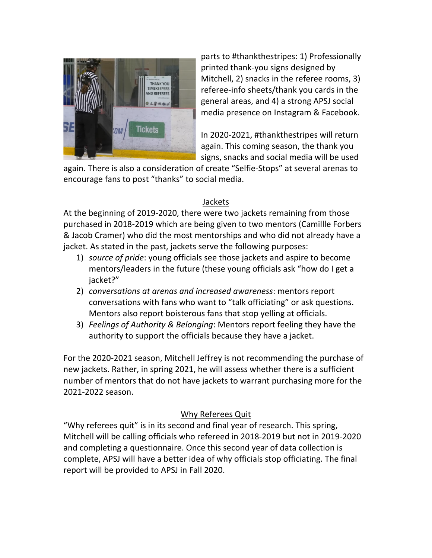

parts to #thankthestripes: 1) Professionally printed thank-you signs designed by Mitchell, 2) snacks in the referee rooms, 3) referee-info sheets/thank you cards in the general areas, and 4) a strong APSJ social media presence on Instagram & Facebook.

In 2020-2021, #thankthestripes will return again. This coming season, the thank you signs, snacks and social media will be used

again. There is also a consideration of create "Selfie-Stops" at several arenas to encourage fans to post "thanks" to social media.

#### Jackets

At the beginning of 2019-2020, there were two jackets remaining from those purchased in 2018-2019 which are being given to two mentors (Camillle Forbers & Jacob Cramer) who did the most mentorships and who did not already have a jacket. As stated in the past, jackets serve the following purposes:

- 1) *source of pride*: young officials see those jackets and aspire to become mentors/leaders in the future (these young officials ask "how do I get a jacket?"
- 2) *conversations at arenas and increased awareness*: mentors report conversations with fans who want to "talk officiating" or ask questions. Mentors also report boisterous fans that stop yelling at officials.
- 3) *Feelings of Authority & Belonging*: Mentors report feeling they have the authority to support the officials because they have a jacket.

For the 2020-2021 season, Mitchell Jeffrey is not recommending the purchase of new jackets. Rather, in spring 2021, he will assess whether there is a sufficient number of mentors that do not have jackets to warrant purchasing more for the 2021-2022 season.

### Why Referees Quit

"Why referees quit" is in its second and final year of research. This spring, Mitchell will be calling officials who refereed in 2018-2019 but not in 2019-2020 and completing a questionnaire. Once this second year of data collection is complete, APSJ will have a better idea of why officials stop officiating. The final report will be provided to APSJ in Fall 2020.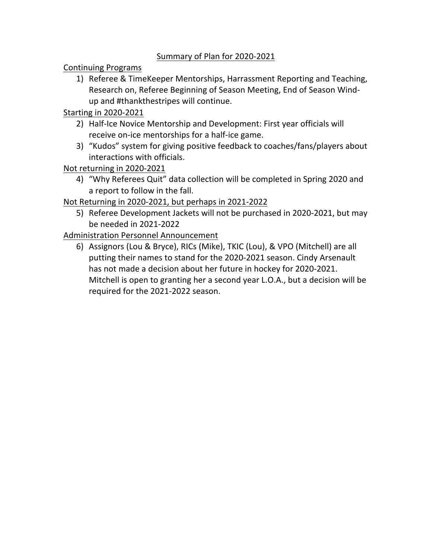#### Summary of Plan for 2020-2021

Continuing Programs

1) Referee & TimeKeeper Mentorships, Harrassment Reporting and Teaching, Research on, Referee Beginning of Season Meeting, End of Season Windup and #thankthestripes will continue.

Starting in 2020-2021

- 2) Half-Ice Novice Mentorship and Development: First year officials will receive on-ice mentorships for a half-ice game.
- 3) "Kudos" system for giving positive feedback to coaches/fans/players about interactions with officials.

Not returning in 2020-2021

4) "Why Referees Quit" data collection will be completed in Spring 2020 and a report to follow in the fall.

Not Returning in 2020-2021, but perhaps in 2021-2022

5) Referee Development Jackets will not be purchased in 2020-2021, but may be needed in 2021-2022

Administration Personnel Announcement

6) Assignors (Lou & Bryce), RICs (Mike), TKIC (Lou), & VPO (Mitchell) are all putting their names to stand for the 2020-2021 season. Cindy Arsenault has not made a decision about her future in hockey for 2020-2021. Mitchell is open to granting her a second year L.O.A., but a decision will be required for the 2021-2022 season.